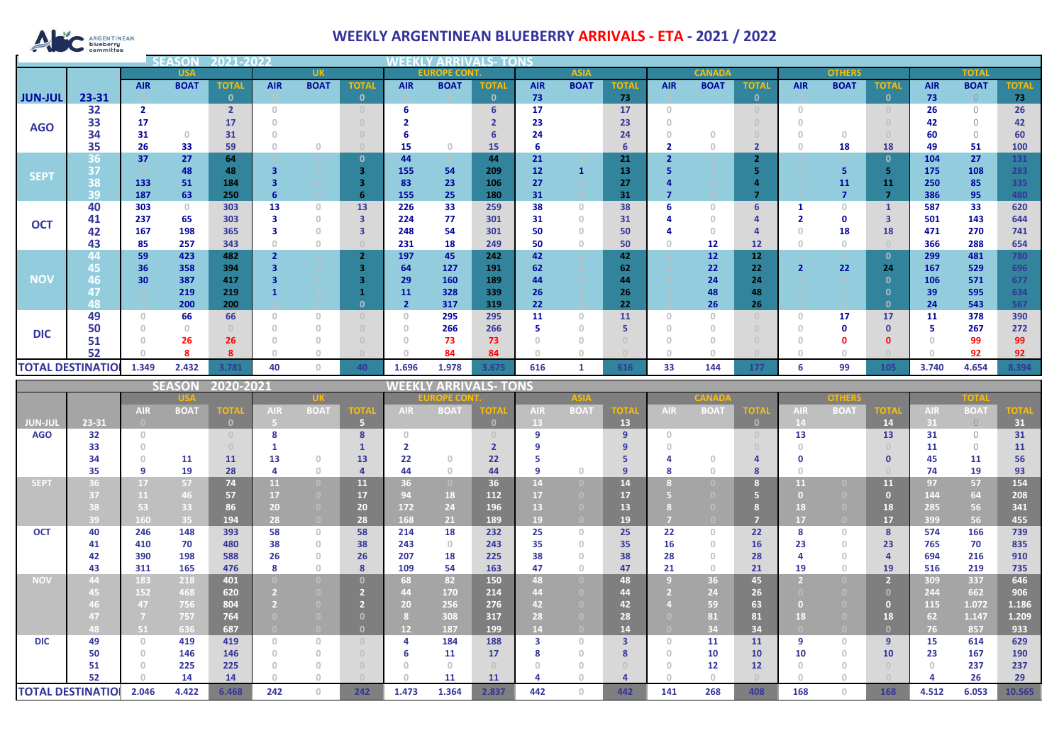

## **WEEKLY ARGENTINEAN BLUEBERRY ARRIVALS - ETA - 2021 / 2022**

|                | 2021-2022<br>SON              |                                       |                                       |                |                         |                                       |                                  | WEEKLY<br><b>ARRIVALS- TONS</b>       |                   |                      |                                       |                |                         |                         |                                       |                |                                       |                |                         |                |                     |              |
|----------------|-------------------------------|---------------------------------------|---------------------------------------|----------------|-------------------------|---------------------------------------|----------------------------------|---------------------------------------|-------------------|----------------------|---------------------------------------|----------------|-------------------------|-------------------------|---------------------------------------|----------------|---------------------------------------|----------------|-------------------------|----------------|---------------------|--------------|
|                |                               |                                       | <b>USA</b>                            |                |                         | UK                                    |                                  |                                       | <b>EUROPE CON</b> |                      |                                       | <b>ASIA</b>    |                         |                         | <b>CANAD</b>                          |                |                                       | <b>OTHERS</b>  |                         |                | <b>TOTAI</b>        |              |
|                |                               | <b>AIR</b>                            | <b>BOAT</b>                           | <b>TOTAL</b>   | <b>AIR</b>              | <b>BOAT</b>                           | <b>TOTAL</b>                     | <b>AIR</b>                            | <b>BOAT</b>       | <b>TOTAL</b>         | <b>AIR</b>                            | <b>BOAT</b>    | <b>TOTAL</b>            | <b>AIR</b>              | <b>BOAT</b>                           | <b>TOTAL</b>   | <b>AIR</b>                            | <b>BOAT</b>    | <b>TOTAL</b>            | <b>AIR</b>     | <b>BOAT</b>         | <b>TOTAL</b> |
| <b>JUN-JUL</b> | 23-31                         |                                       |                                       | $\mathbf{0}$   |                         |                                       | $\mathbf{0}$                     |                                       |                   | $\mathbf{0}$         | 73                                    |                | 73                      |                         |                                       | $\mathbf{0}$   |                                       |                | $\mathbf{0}$            | 73             | $\bigcap$           | 73           |
|                | 32                            | $\overline{2}$                        |                                       | $\overline{2}$ | $\circ$                 |                                       | $\circ$                          | 6                                     |                   | 6                    | 17                                    |                | 17                      | $\overline{0}$          |                                       | $\overline{0}$ | $\circ$                               |                | $\theta$                | 26             | $\circ$             | 26           |
| <b>AGO</b>     | 33                            | 17                                    |                                       | 17             | $\circ$                 |                                       | $\circ$                          | $\overline{2}$                        |                   | $\overline{2}$       | 23                                    |                | 23                      | $\circ$                 |                                       | $\cup$         | $\begin{array}{c} 0 \\ 0 \end{array}$ |                | $\overline{0}$          | 42             | $\circlearrowright$ | 42           |
|                | 34                            | 31                                    | $\begin{array}{c} 0 \\ 0 \end{array}$ | 31             | $\Omega$                |                                       | $\circ$                          | 6                                     |                   | 6                    | 24                                    |                | 24                      | $\Omega$                | $\circ$                               | $\circ$        | $\overline{0}$                        | $\circ$        | $\theta$                | 60             | $\circlearrowright$ | 60           |
|                | 35                            | 26                                    | 33                                    | 59             | $\Omega$                | $\mathbb O$                           | $\bigcirc$                       | 15                                    | $\circ$           | 15                   | 6                                     |                | 6                       | $\overline{\mathbf{2}}$ | $\circ$                               | $\overline{2}$ | $\Omega$                              | 18             | <b>18</b>               | 49             | 51                  | 100          |
|                | 36                            | 37                                    | 27                                    | 64             |                         |                                       | $\mathbf{0}$                     | 44                                    |                   | 44                   | 21                                    |                | 21                      | $\overline{2}$          |                                       | $\overline{2}$ |                                       |                | $\mathbf{0}$            | 104            | 27                  | 131          |
|                | 37                            |                                       | 48                                    | 48             | $\overline{\mathbf{3}}$ | $\circ$                               | 3                                | 155                                   | 54                | 209                  | 12                                    | $\mathbf{1}$   | 13                      | 5                       |                                       | 5.             |                                       | 5              | -5                      | 175            | 108                 | 283          |
| <b>SEPT</b>    | 38                            | 133                                   | ${\bf 51}$                            | 184            | $\overline{\mathbf{3}}$ |                                       | 3                                | 83                                    | 23                | 106                  | $27\,$                                |                | 27                      | $\overline{a}$          |                                       | $\overline{a}$ |                                       | 11             | 11                      | 250            | 85                  | 335          |
|                | 39                            | 187                                   | 63                                    | 250            | 6                       |                                       | 6                                | 155                                   | 25                | 180                  | 31                                    |                | 31                      | 7                       |                                       | 7              |                                       | $\overline{7}$ | $\overline{7}$          | 386            | 95                  | 480          |
|                | 40                            | 303                                   | $\mathbb O$                           | 303            | 13                      | $\circ$                               | 13                               | 226                                   | 33                | 259                  | 38                                    | $\circ$        | 38                      | 6                       | $\circ$                               | 6              | $\mathbf{1}$                          | $\circ$        | $\mathbf{1}$            | 587            | 33                  | 620          |
|                | 41                            | 237                                   | 65                                    | 303            | 3                       | $\circ$                               | $\overline{\mathbf{3}}$          | 224                                   | 77                | 301                  | 31                                    | $\circ$        | 31                      | 4                       | $\circ$                               | $\overline{a}$ | $\overline{2}$                        | $\mathbf 0$    | $\overline{\mathbf{3}}$ | 501            | 143                 | 644          |
| <b>OCT</b>     | 42                            | 167                                   | 198                                   | 365            | 3                       | $\mathbb O$                           | $\overline{\mathbf{3}}$          | 248                                   | 54                | 301                  | 50                                    | $\circ$        | 50                      | $\overline{a}$          | $\begin{array}{c} 0 \\ 0 \end{array}$ | 4              | $\overline{0}$                        | 18             | 18                      | 471            | 270                 | 741          |
|                | 43                            | 85                                    | 257                                   | 343            | $\Omega$                | $\mathbb O$                           | $\begin{array}{c} \n\end{array}$ | 231                                   | 18                | 249                  | 50                                    | $\circ$        | 50                      | $\Omega$                | 12                                    | 12             | $\circ$                               | $\circ$        |                         | 366            | 288                 | 654          |
|                | 44                            | 59                                    | 423                                   | 482            | $\overline{2}$          |                                       | $\overline{2}$                   | 197                                   | 45                | 242                  | 42                                    |                | 42                      |                         | 12                                    | 12             |                                       |                | $\mathbf{0}$            | 299            | 481                 | 780          |
|                | 45                            | 36                                    | 358                                   | 394            | 3                       |                                       | $\overline{\mathbf{3}}$          | 64                                    | 127               | 191                  | 62                                    |                | 62                      |                         | 22                                    | 22             | $\overline{2}$                        | 22             | 24                      | 167            | 529                 | 696          |
| <b>NOV</b>     | 46                            | 30                                    | 387                                   | 417            | $\overline{\mathbf{3}}$ |                                       | $\overline{\mathbf{3}}$          | 29                                    | 160               | 189                  | 44                                    |                | 44                      |                         | 24                                    | 24             |                                       |                | $\mathbf{0}$            | 106            | 571                 | 677          |
|                | 47                            |                                       | 219                                   | 219            | $\mathbf{1}$            |                                       | $\mathbf{1}$                     | 11                                    | 328               | 339                  | 26                                    |                | 26                      |                         | 48                                    | 48             |                                       |                | $\mathbf{0}$            | 39             | 595                 | 634          |
|                | 48                            |                                       | 200                                   | 200            |                         |                                       | $\mathbf{0}$                     | $\overline{2}$                        | 317               | 319                  | 22                                    |                | 22                      |                         | 26                                    | 26             |                                       |                | $\mathbf{0}$            | 24             | 543                 | 567          |
|                | 49                            | $\circ$                               | 66                                    | 66             | $\circ$                 | $\circ$                               | $\circ$                          | $\begin{array}{c} 0 \\ 0 \end{array}$ | 295               | 295                  | 11                                    | $\circ$        | 11                      | $\theta$                | $\begin{array}{c} 0 \\ 0 \end{array}$ | $\overline{0}$ | $\circ$                               | 17             | 17                      | 11             | 378                 | 390          |
|                | 50                            | $\begin{array}{c} 0 \\ 0 \end{array}$ | $\circ$                               | $\cup$         | $\circ$                 | $\begin{array}{c} 0 \\ 0 \end{array}$ | $\begin{array}{c} 0 \end{array}$ | $\circledcirc$                        | 266               | 266                  | 5                                     | $\circ$        | 5                       | $\circ$                 | $\circ$                               | $\overline{0}$ | $\begin{array}{c} 0 \\ 0 \end{array}$ | $\mathbf 0$    | $\mathbf{0}$            | 5              | 267                 | 272          |
| <b>DIC</b>     | 51                            | $\circ$                               | 26                                    | 26             | $\circ$                 | $\mathbb O$                           | $\circ$                          | $\circ$                               | 73                | 73                   | $\circledcirc$                        | $\circ$        | $\overline{0}$          | $\Omega$                | $\circ$                               | $\overline{0}$ | $\overline{0}$                        | $\mathbf 0$    | $\mathbf{0}$            | $\circ$        | 99                  | 99           |
|                | 52                            | $\mathbf{0}$                          | 8                                     | 8              | $\Omega$                | $\mathbb O$                           | $\bigcirc$                       |                                       | 84                | 84                   | $\circ$                               | $\circ$        |                         | $\Omega$                | $\Omega$                              |                | $\Omega$                              | $\circ$        |                         | $\cap$         | 92                  | 92           |
|                | <b>TOTAL DESTINATIO</b>       | 1.349                                 | 2.432                                 | 3.781          | 40                      | $\mathbb O$                           | 40                               | 1.696                                 | 1.978             | 3.675                | 616                                   | $\mathbf{1}$   | 616                     | 33                      | 144                                   | 177            | 6                                     | 99             | 105                     | 3.740          | 4.654               | 3.394        |
|                |                               |                                       |                                       |                |                         |                                       |                                  |                                       |                   |                      |                                       |                |                         |                         |                                       |                |                                       |                |                         |                |                     |              |
|                |                               |                                       |                                       |                |                         |                                       |                                  |                                       |                   |                      |                                       |                |                         |                         |                                       |                |                                       |                |                         |                |                     |              |
|                |                               |                                       | <b>SEASON</b>                         | 2020-2021      |                         |                                       |                                  | <b>WEEK</b>                           |                   | <b>ARRIVALS-TONS</b> |                                       |                |                         |                         |                                       |                |                                       |                |                         |                |                     |              |
|                |                               |                                       |                                       |                |                         | UK.                                   |                                  |                                       |                   |                      |                                       |                |                         |                         |                                       |                |                                       |                |                         |                | <b>OTAL</b>         |              |
|                |                               | <b>AIR</b>                            | <b>BOAT</b>                           | TOTA           | <b>AIR</b>              | <b>BOAT</b>                           | <b>OT</b>                        | AIR.                                  | <b>BOAT</b>       | <b>TOTA</b>          | <b>AIR</b>                            | <b>BOAT</b>    | OT.                     | <b>AIR</b>              | <b>BOAT</b>                           | <b>OT</b>      | <b>AIR</b>                            | <b>BOAT</b>    | ЮT                      | <b>AIR</b>     | <b>BOAT</b>         | OT.          |
| <b>JUN-JU</b>  | $23 - 31$                     |                                       |                                       | $\bullet$      | 5.                      |                                       | 5 <sup>7</sup>                   |                                       |                   | $\bullet$            | 13 <sup>°</sup>                       |                | 13                      |                         |                                       | $\mathbf{0}$   | 14                                    |                | 14                      | 31             | $\circ$             | 31           |
| <b>AGO</b>     | 32                            | $\circ$                               |                                       | $\circ$        | 8                       |                                       | 8                                | $\theta$                              |                   | $\cup$               | 9                                     |                | 9                       | $\circ$                 |                                       | $\theta$       | 13                                    |                | 13                      | 31             | $\circ$             | 31           |
|                | 33                            | $\circ$                               |                                       | $\circ$        | 1                       |                                       | $\mathbf{1}$                     | $\overline{\mathbf{2}}$               |                   | $\overline{2}$       | 9                                     |                | 9                       | $\Omega$                |                                       | $\overline{0}$ | $\overline{0}$                        |                | $\theta$                | 11             | $\circlearrowright$ | 11           |
|                | 34                            | $\mathbb O$                           | 11                                    | 11             | 13                      | $\circ$                               | 13                               | 22                                    | $\circ$           | 22                   | 5                                     |                | 5                       | 4                       | $\circ$                               | 4              | O                                     |                | $\mathbf{0}$            | 45             | 11                  | 56           |
|                | 35                            | 9                                     | 19                                    | 28             | 4                       | $\circ$                               | $\overline{4}$                   | 44                                    | $\circ$           | 44                   | 9                                     | $\circ$        | 9                       | 8                       | $\begin{array}{c} 0 \\ 0 \end{array}$ | 8              | $\circ$                               |                | $\cap$                  | 74             | 19                  | 93           |
| <b>SEPT</b>    | 36                            | 17                                    | 57                                    | 74             | 11                      | $\overline{0}$                        | 11                               | 36                                    | $\overline{0}$    | 36                   | 14                                    | $\overline{0}$ | 14                      | 8                       | $\sqrt{2}$                            | 8              | 11                                    | $\overline{0}$ | 11                      | 97             | 57                  | 154          |
|                | 37                            | 11                                    | 46                                    | 57             | 17                      | $\overline{0}$                        | 17                               | 94                                    | 18                | 112                  | 17                                    | $\overline{0}$ | 17                      | -51                     |                                       | 5 <sub>1</sub> | $\overline{0}$                        | $\overline{0}$ | $\overline{0}$          | 144            | 64                  | 208          |
|                | 38                            | 53                                    | 33                                    | 86             | 20 <sub>2</sub>         | $\overline{0}$                        | 20                               | 172                                   | 24                | 196                  | 13 <sup>°</sup>                       | (0)            | 13                      | -8                      | $\Box$                                | 8 <sup>2</sup> | 18                                    | $\overline{0}$ | 18                      | 285            | 56                  | 341          |
|                | 39                            | 160                                   | 35                                    | 194            | 28                      |                                       | 28                               | 168                                   | 21                | 189                  | 19                                    |                | 19                      |                         |                                       | 7              | 17                                    | $\bullet$      | 17                      | 399            | 56                  | 455          |
| <b>OCT</b>     | 40                            | 246                                   | 148                                   | 393            | 58                      | $\circ$                               | 58                               | 214                                   | 18                | 232                  | 25                                    | $\circ$        | 25                      | 22                      | $\circ$                               | 22             | 8                                     | $\circ$        | $\boldsymbol{8}$        | 574            | 166                 | 739          |
|                | 41                            | 410                                   | 70                                    | 480            | 38                      | $\circ$                               | 38                               | 243                                   | $\circ$           | 243                  | 35                                    | $\circ$        | 35                      | 16                      | $\theta$                              | 16             | 23                                    | $\circ$        | 23                      | 765            | 70                  | 835          |
|                | 42                            | 390                                   | 198                                   | 588            | 26                      | $\circ$                               | 26                               | 207                                   | 18                | 225                  | 38                                    | $\circ$        | 38                      | 28                      | $\begin{array}{c} 0 \\ 0 \end{array}$ | 28             | $\overline{a}$                        | $\circ$        | $\overline{4}$          | 694            | 216                 | 910          |
|                | 43                            | 311                                   | 165                                   | 476            | 8                       | $\begin{array}{c} 0 \end{array}$      | 8                                | 109                                   | 54                | 163                  | 47                                    | $\circ$        | 47                      | 21                      | $\circ$                               | 21             | 19                                    | $\circ$        | 19                      | 516            | 219                 | 735          |
| <b>NOV</b>     | 44                            | 183                                   | 218                                   | 401            |                         | $\overline{0}$                        | $\mathbf{0}$                     | 68                                    | 82                | 150                  | 48                                    | $\bullet$      | 48                      | $\overline{9}$          | 36                                    | 45             | $\overline{2}$                        | $\overline{0}$ | $\overline{2}$          | 309            | 337                 | 646          |
|                | 45.                           | 152                                   | 468                                   | 620            | $\overline{2}$          | $\overline{0}$                        | $\overline{2}$                   | 44                                    | 170               | 214                  | 44                                    |                | 44                      | <sup>2</sup>            | 24                                    | 26             |                                       | $\bullet$      | $\mathbf{0}$            | 244            | 662                 | 906          |
|                | 46                            | 47                                    | 756                                   | 804            | $\overline{2}$          | $\overline{0}$                        | $\overline{2}$                   | 20                                    | 256               | 276                  | 42                                    |                | 42                      |                         | 59                                    | 63             | $\bullet$                             | $\overline{0}$ | $\overline{0}$          | 115            | 1.072               | 1.186        |
|                | 47                            | $\overline{7}$                        | 757                                   | 764            |                         | $\overline{0}$                        | $\mathbf{0}$                     | 8                                     | 308               | 317                  | 28                                    |                | 28                      |                         | 81                                    | 81             | 18                                    | $\overline{0}$ | 18                      | 62             | 1.147               | 1.209        |
|                | 48                            | 51                                    | 636                                   | 687            |                         | $\overline{0}$                        | $\mathbf{0}$                     | 12                                    | 187               | 199                  | 14                                    |                | 14                      |                         | 34                                    | 34             | n                                     | $\overline{0}$ | $\mathbf{0}$            | 76             | 857                 | 933          |
| <b>DIC</b>     | 49                            | $\circ$                               | 419                                   | 419            | $\circ$                 | $\circ$                               | $\theta$                         | $\overline{4}$                        | 184               | 188                  | 3                                     | $\circ$        | $\overline{\mathbf{3}}$ | $\overline{0}$          | 11                                    | 11             | 9                                     | $\circ$        | 9                       | 15             | 614                 | 629          |
|                | 50                            | $\circ$                               | 146                                   | 146            | $\circ$                 | $\circ$                               | $\circ$                          | 6                                     | 11                | 17                   | 8                                     | $\circ$        | 8                       | $\overline{0}$          | 10                                    | 10             | 10                                    | $\circ$        | 10                      | 23             | 167                 | 190          |
|                | 51                            | $\cup$                                | 225                                   | 225            | $\circ$                 | $\circ$                               | $\circ$                          | $\cup$                                | $\circ$           | $\overline{0}$       | $\begin{array}{c} 0 \\ 0 \end{array}$ | $\circ$        | $\overline{0}$          | $\Omega$                | 12                                    | 12             | $\circ$                               | $\circ$        |                         | $\circ$        | 237                 | 237          |
|                | 52<br><b>TOTAL DESTINATIO</b> | $\Omega$                              | 14                                    | 14             | $\Omega$                | $\mathbb O$                           |                                  | $\cup$                                | 11                | 11                   | 4                                     | $\overline{0}$ | $\overline{a}$          | $\Omega$                | $\begin{array}{c} 0 \\ 0 \end{array}$ |                | $\overline{0}$                        | $\circ$        |                         | $\overline{a}$ | 26                  | 29           |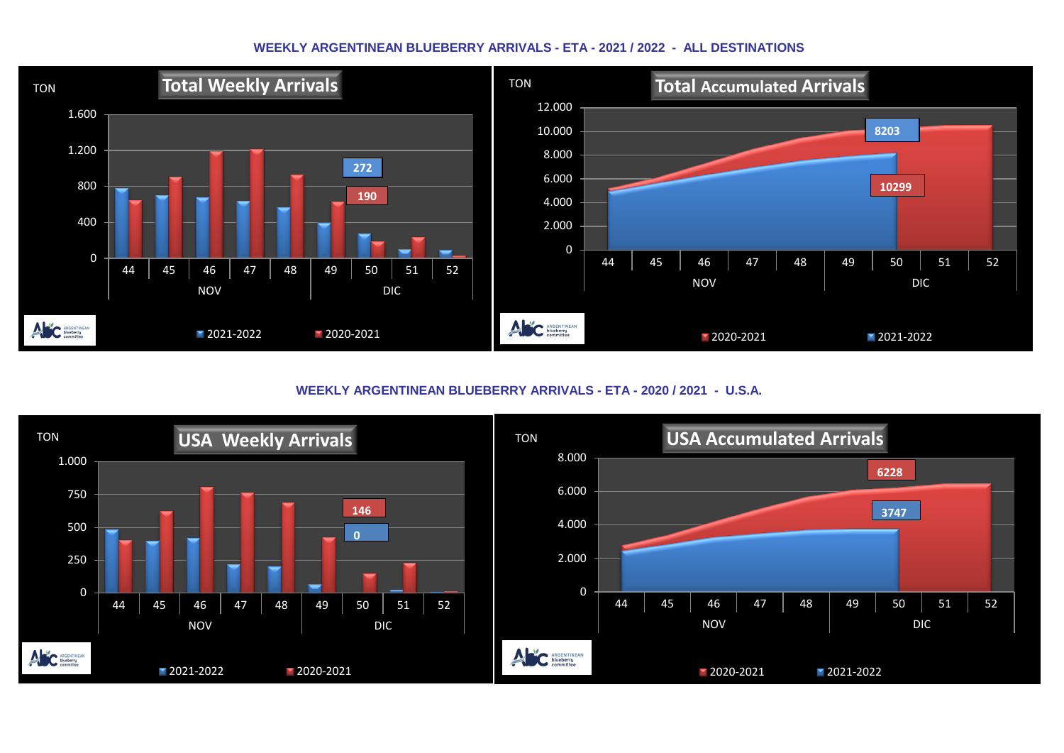## **WEEKLY ARGENTINEAN BLUEBERRY ARRIVALS - ETA - 2021 / 2022 - ALL DESTINATIONS**



**WEEKLY ARGENTINEAN BLUEBERRY ARRIVALS - ETA - 2020 / 2021 - U.S.A.**

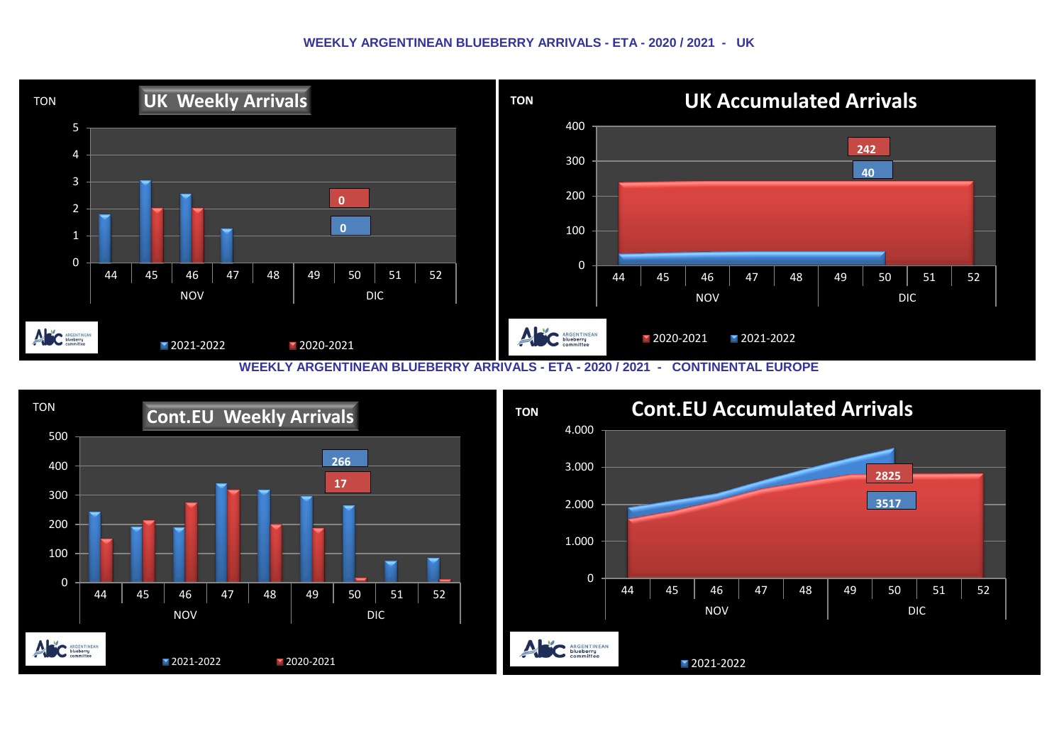## **WEEKLY ARGENTINEAN BLUEBERRY ARRIVALS - ETA - 2020 / 2021 - UK**



**WEEKLY ARGENTINEAN BLUEBERRY ARRIVALS - ETA - 2020 / 2021 - CONTINENTAL EUROPE**